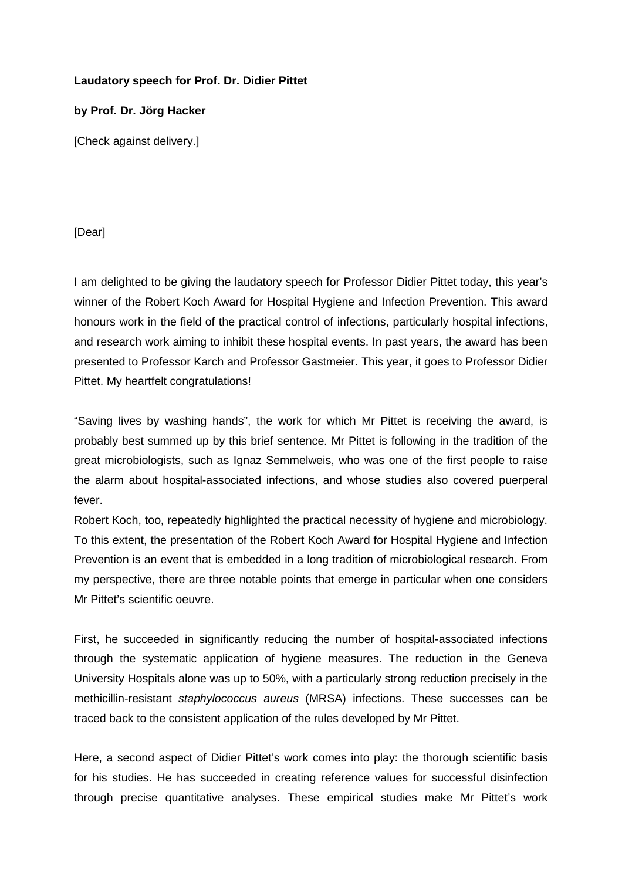## **Laudatory speech for Prof. Dr. Didier Pittet**

## **by Prof. Dr. Jörg Hacker**

[Check against delivery.]

## [Dear]

I am delighted to be giving the laudatory speech for Professor Didier Pittet today, this year's winner of the Robert Koch Award for Hospital Hygiene and Infection Prevention. This award honours work in the field of the practical control of infections, particularly hospital infections, and research work aiming to inhibit these hospital events. In past years, the award has been presented to Professor Karch and Professor Gastmeier. This year, it goes to Professor Didier Pittet. My heartfelt congratulations!

"Saving lives by washing hands", the work for which Mr Pittet is receiving the award, is probably best summed up by this brief sentence. Mr Pittet is following in the tradition of the great microbiologists, such as Ignaz Semmelweis, who was one of the first people to raise the alarm about hospital-associated infections, and whose studies also covered puerperal fever.

Robert Koch, too, repeatedly highlighted the practical necessity of hygiene and microbiology. To this extent, the presentation of the Robert Koch Award for Hospital Hygiene and Infection Prevention is an event that is embedded in a long tradition of microbiological research. From my perspective, there are three notable points that emerge in particular when one considers Mr Pittet's scientific oeuvre.

First, he succeeded in significantly reducing the number of hospital-associated infections through the systematic application of hygiene measures. The reduction in the Geneva University Hospitals alone was up to 50%, with a particularly strong reduction precisely in the methicillin-resistant *staphylococcus aureus* (MRSA) infections. These successes can be traced back to the consistent application of the rules developed by Mr Pittet.

Here, a second aspect of Didier Pittet's work comes into play: the thorough scientific basis for his studies. He has succeeded in creating reference values for successful disinfection through precise quantitative analyses. These empirical studies make Mr Pittet's work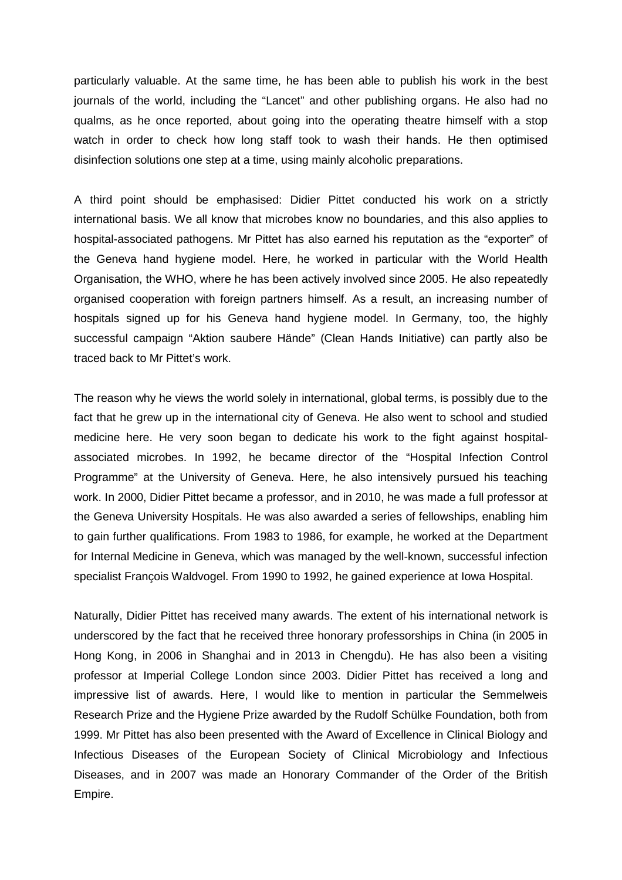particularly valuable. At the same time, he has been able to publish his work in the best journals of the world, including the "Lancet" and other publishing organs. He also had no qualms, as he once reported, about going into the operating theatre himself with a stop watch in order to check how long staff took to wash their hands. He then optimised disinfection solutions one step at a time, using mainly alcoholic preparations.

A third point should be emphasised: Didier Pittet conducted his work on a strictly international basis. We all know that microbes know no boundaries, and this also applies to hospital-associated pathogens. Mr Pittet has also earned his reputation as the "exporter" of the Geneva hand hygiene model. Here, he worked in particular with the World Health Organisation, the WHO, where he has been actively involved since 2005. He also repeatedly organised cooperation with foreign partners himself. As a result, an increasing number of hospitals signed up for his Geneva hand hygiene model. In Germany, too, the highly successful campaign "Aktion saubere Hände" (Clean Hands Initiative) can partly also be traced back to Mr Pittet's work.

The reason why he views the world solely in international, global terms, is possibly due to the fact that he grew up in the international city of Geneva. He also went to school and studied medicine here. He very soon began to dedicate his work to the fight against hospitalassociated microbes. In 1992, he became director of the "Hospital Infection Control Programme" at the University of Geneva. Here, he also intensively pursued his teaching work. In 2000, Didier Pittet became a professor, and in 2010, he was made a full professor at the Geneva University Hospitals. He was also awarded a series of fellowships, enabling him to gain further qualifications. From 1983 to 1986, for example, he worked at the Department for Internal Medicine in Geneva, which was managed by the well-known, successful infection specialist François Waldvogel. From 1990 to 1992, he gained experience at Iowa Hospital.

Naturally, Didier Pittet has received many awards. The extent of his international network is underscored by the fact that he received three honorary professorships in China (in 2005 in Hong Kong, in 2006 in Shanghai and in 2013 in Chengdu). He has also been a visiting professor at Imperial College London since 2003. Didier Pittet has received a long and impressive list of awards. Here, I would like to mention in particular the Semmelweis Research Prize and the Hygiene Prize awarded by the Rudolf Schülke Foundation, both from 1999. Mr Pittet has also been presented with the Award of Excellence in Clinical Biology and Infectious Diseases of the European Society of Clinical Microbiology and Infectious Diseases, and in 2007 was made an Honorary Commander of the Order of the British Empire.